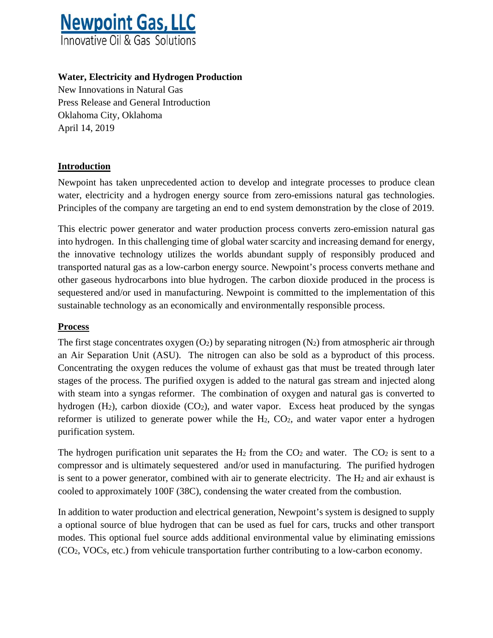

### **Water, Electricity and Hydrogen Production**

New Innovations in Natural Gas Press Release and General Introduction Oklahoma City, Oklahoma April 14, 2019

### **Introduction**

Newpoint has taken unprecedented action to develop and integrate processes to produce clean water, electricity and a hydrogen energy source from zero-emissions natural gas technologies. Principles of the company are targeting an end to end system demonstration by the close of 2019.

This electric power generator and water production process converts zero-emission natural gas into hydrogen. In this challenging time of global water scarcity and increasing demand for energy, the innovative technology utilizes the worlds abundant supply of responsibly produced and transported natural gas as a low-carbon energy source. Newpoint's process converts methane and other gaseous hydrocarbons into blue hydrogen. The carbon dioxide produced in the process is sequestered and/or used in manufacturing. Newpoint is committed to the implementation of this sustainable technology as an economically and environmentally responsible process.

#### **Process**

The first stage concentrates oxygen  $(O_2)$  by separating nitrogen  $(N_2)$  from atmospheric air through an Air Separation Unit (ASU). The nitrogen can also be sold as a byproduct of this process. Concentrating the oxygen reduces the volume of exhaust gas that must be treated through later stages of the process. The purified oxygen is added to the natural gas stream and injected along with steam into a syngas reformer. The combination of oxygen and natural gas is converted to hydrogen  $(H_2)$ , carbon dioxide  $(CO_2)$ , and water vapor. Excess heat produced by the syngas reformer is utilized to generate power while the H<sub>2</sub>, CO<sub>2</sub>, and water vapor enter a hydrogen purification system.

The hydrogen purification unit separates the  $H_2$  from the  $CO_2$  and water. The  $CO_2$  is sent to a compressor and is ultimately sequestered and/or used in manufacturing. The purified hydrogen is sent to a power generator, combined with air to generate electricity. The H<sub>2</sub> and air exhaust is cooled to approximately 100F (38C), condensing the water created from the combustion.

In addition to water production and electrical generation, Newpoint's system is designed to supply a optional source of blue hydrogen that can be used as fuel for cars, trucks and other transport modes. This optional fuel source adds additional environmental value by eliminating emissions (CO2, VOCs, etc.) from vehicule transportation further contributing to a low-carbon economy.